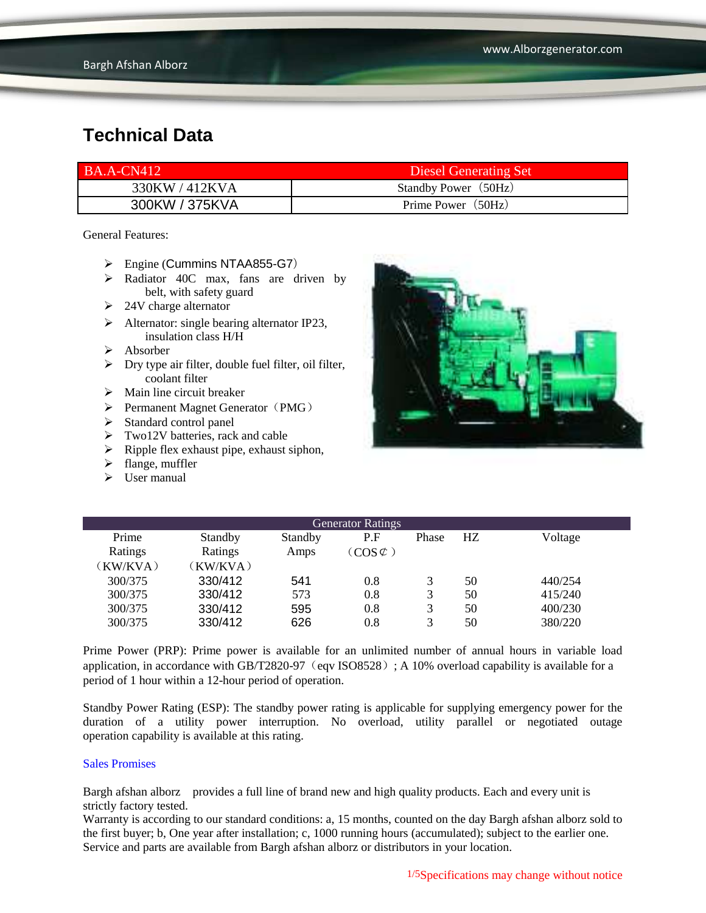| <b>BA.A-CN412</b> | Diesel Generating Set |
|-------------------|-----------------------|
| 330KW / 412KVA    | Standby Power (50Hz)  |
| 300KW / 375KVA    | Prime Power (50Hz)    |

General Features:

- Engine (Cummins NTAA855-G7)
- Radiator 40C max, fans are driven by belt, with safety guard
- $\geq$  24V charge alternator
- $\triangleright$  Alternator: single bearing alternator IP23, insulation class H/H
- $\triangleright$  Absorber
- $\triangleright$  Dry type air filter, double fuel filter, oil filter, coolant filter
- $\triangleright$  Main line circuit breaker
- $\triangleright$  Permanent Magnet Generator (PMG)
- $\triangleright$  Standard control panel
- $\triangleright$  Two12V batteries, rack and cable
- $\triangleright$  Ripple flex exhaust pipe, exhaust siphon,
- $\blacktriangleright$  flange, muffler
- $\triangleright$  User manual



| <b>Generator Ratings</b> |          |         |                             |       |    |         |
|--------------------------|----------|---------|-----------------------------|-------|----|---------|
| Prime                    | Standby  | Standby | P.F                         | Phase | HZ | Voltage |
| Ratings                  | Ratings  | Amps    | $\left(\cos \varphi\right)$ |       |    |         |
| (KW/KVA)                 | (KW/KVA) |         |                             |       |    |         |
| 300/375                  | 330/412  | 541     | 0.8                         | 3     | 50 | 440/254 |
| 300/375                  | 330/412  | 573     | 0.8                         | 3     | 50 | 415/240 |
| 300/375                  | 330/412  | 595     | 0.8                         | 3     | 50 | 400/230 |
| 300/375                  | 330/412  | 626     | 0.8                         | 3     | 50 | 380/220 |

Prime Power (PRP): Prime power is available for an unlimited number of annual hours in variable load application, in accordance with GB/T2820-97 (eqv ISO8528); A 10% overload capability is available for a period of 1 hour within a 12-hour period of operation.

Standby Power Rating (ESP): The standby power rating is applicable for supplying emergency power for the duration of a utility power interruption. No overload, utility parallel or negotiated outage operation capability is available at this rating.

#### Sales Promises

Bargh afshan alborz provides a full line of brand new and high quality products. Each and every unit is strictly factory tested.

Warranty is according to our standard conditions: a, 15 months, counted on the day Bargh afshan alborz sold to the first buyer; b, One year after installation; c, 1000 running hours (accumulated); subject to the earlier one. Service and parts are available from Bargh afshan alborz or distributors in your location.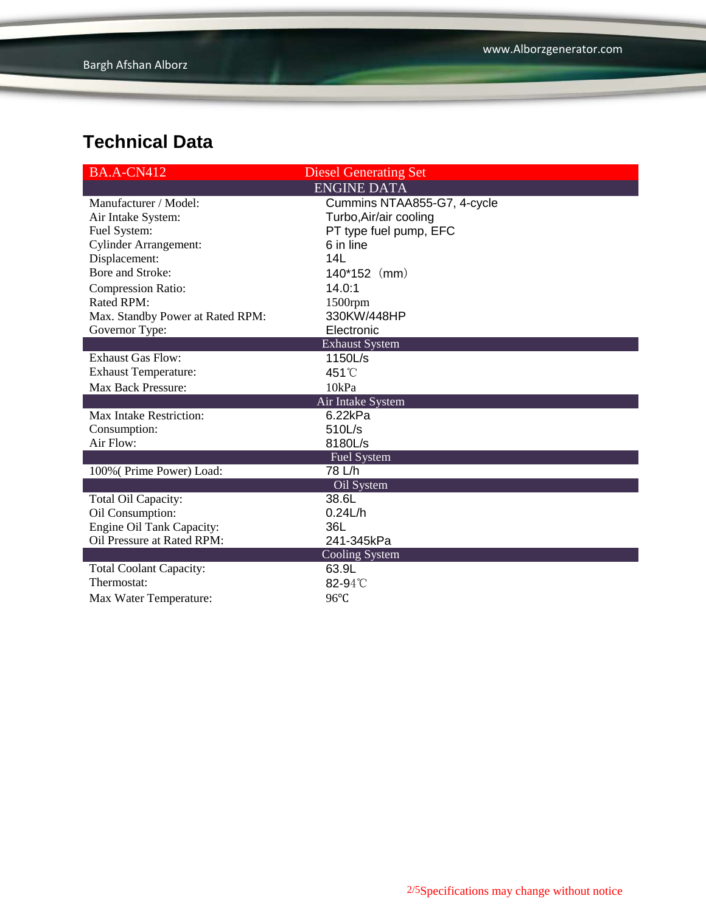| <b>BA.A-CN412</b>                | <b>Diesel Generating Set</b> |  |  |
|----------------------------------|------------------------------|--|--|
|                                  | <b>ENGINE DATA</b>           |  |  |
| Manufacturer / Model:            | Cummins NTAA855-G7, 4-cycle  |  |  |
| Air Intake System:               | Turbo, Air/air cooling       |  |  |
| Fuel System:                     | PT type fuel pump, EFC       |  |  |
| <b>Cylinder Arrangement:</b>     | 6 in line                    |  |  |
| Displacement:                    | 14L                          |  |  |
| Bore and Stroke:                 | 140*152 (mm)                 |  |  |
| <b>Compression Ratio:</b>        | 14.0:1                       |  |  |
| Rated RPM:                       | 1500rpm                      |  |  |
| Max. Standby Power at Rated RPM: | 330KW/448HP                  |  |  |
| Governor Type:                   | Electronic                   |  |  |
|                                  | <b>Exhaust System</b>        |  |  |
| <b>Exhaust Gas Flow:</b>         | 1150L/s                      |  |  |
| <b>Exhaust Temperature:</b>      | 451°C                        |  |  |
| <b>Max Back Pressure:</b>        | 10kPa                        |  |  |
|                                  | Air Intake System            |  |  |
| Max Intake Restriction:          | 6.22kPa                      |  |  |
| Consumption:                     | 510L/s                       |  |  |
| Air Flow:                        | 8180L/s                      |  |  |
|                                  | <b>Fuel System</b>           |  |  |
| 100% (Prime Power) Load:         | 78 L/h                       |  |  |
|                                  | Oil System                   |  |  |
| Total Oil Capacity:              | 38.6L                        |  |  |
| Oil Consumption:                 | 0.24L/h                      |  |  |
| Engine Oil Tank Capacity:        | 36L                          |  |  |
| Oil Pressure at Rated RPM:       | 241-345kPa                   |  |  |
| <b>Cooling System</b>            |                              |  |  |
| <b>Total Coolant Capacity:</b>   | 63.9L                        |  |  |
| Thermostat:                      | 82-94°C                      |  |  |
| Max Water Temperature:           | 96°C                         |  |  |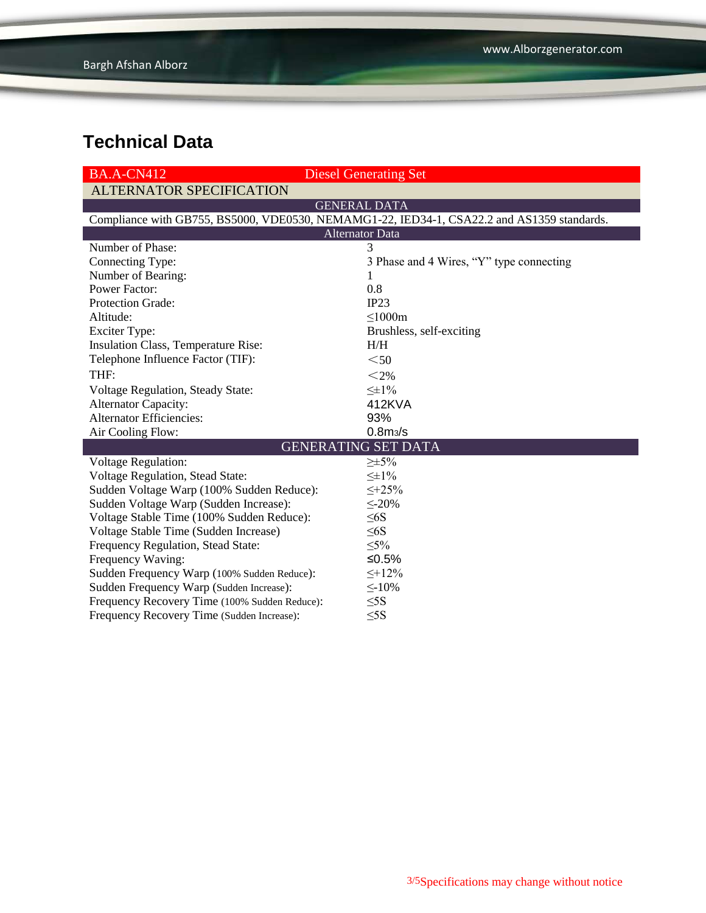| <b>BA.A-CN412</b>                                                                          | <b>Diesel Generating Set</b>             |  |  |  |
|--------------------------------------------------------------------------------------------|------------------------------------------|--|--|--|
| <b>ALTERNATOR SPECIFICATION</b>                                                            |                                          |  |  |  |
|                                                                                            | <b>GENERAL DATA</b>                      |  |  |  |
| Compliance with GB755, BS5000, VDE0530, NEMAMG1-22, IED34-1, CSA22.2 and AS1359 standards. |                                          |  |  |  |
| <b>Alternator Data</b>                                                                     |                                          |  |  |  |
| Number of Phase:                                                                           | 3                                        |  |  |  |
| Connecting Type:                                                                           | 3 Phase and 4 Wires, "Y" type connecting |  |  |  |
| Number of Bearing:                                                                         | 1                                        |  |  |  |
| <b>Power Factor:</b>                                                                       | 0.8                                      |  |  |  |
| Protection Grade:                                                                          | IP23                                     |  |  |  |
| Altitude:                                                                                  | $\leq$ 1000m                             |  |  |  |
| <b>Exciter Type:</b>                                                                       | Brushless, self-exciting                 |  |  |  |
| <b>Insulation Class, Temperature Rise:</b>                                                 | H/H                                      |  |  |  |
| Telephone Influence Factor (TIF):                                                          | $50$                                     |  |  |  |
| THF:                                                                                       | $<$ 2%                                   |  |  |  |
| Voltage Regulation, Steady State:                                                          | $\leq \pm 1\%$                           |  |  |  |
| <b>Alternator Capacity:</b>                                                                | 412KVA                                   |  |  |  |
| <b>Alternator Efficiencies:</b>                                                            | 93%                                      |  |  |  |
| Air Cooling Flow:                                                                          | 0.8 <sub>m3</sub> /s                     |  |  |  |
|                                                                                            | <b>GENERATING SET DATA</b>               |  |  |  |
| <b>Voltage Regulation:</b>                                                                 | $\geq \pm 5\%$                           |  |  |  |
| Voltage Regulation, Stead State:                                                           | $\leq \pm 1\%$                           |  |  |  |
| Sudden Voltage Warp (100% Sudden Reduce):                                                  | $\leq +25\%$                             |  |  |  |
| Sudden Voltage Warp (Sudden Increase):                                                     | $\leq$ -20%                              |  |  |  |
| Voltage Stable Time (100% Sudden Reduce):                                                  | $\leq 6S$                                |  |  |  |
| Voltage Stable Time (Sudden Increase)                                                      | $\leq 6S$                                |  |  |  |
| Frequency Regulation, Stead State:                                                         | $\leq 5\%$                               |  |  |  |
| Frequency Waving:                                                                          | ≤0.5%                                    |  |  |  |
| Sudden Frequency Warp (100% Sudden Reduce):                                                | $\leq +12\%$                             |  |  |  |
| Sudden Frequency Warp (Sudden Increase):                                                   | $\leq$ -10%                              |  |  |  |
| Frequency Recovery Time (100% Sudden Reduce):                                              | $\leq$ 5S                                |  |  |  |
| Frequency Recovery Time (Sudden Increase):                                                 | $\leq$ 5S                                |  |  |  |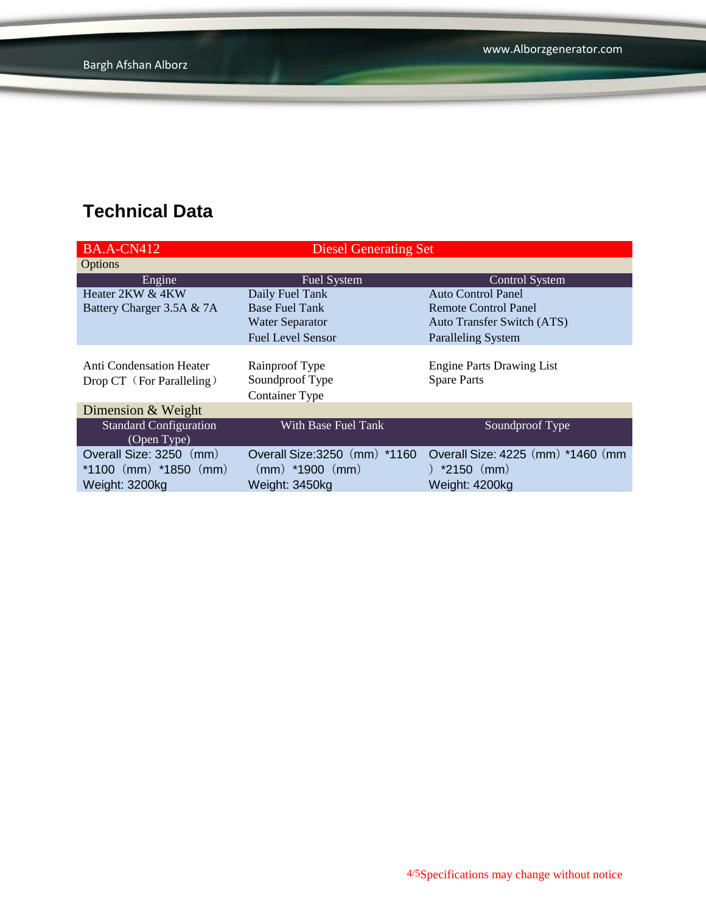| <b>BA.A-CN412</b>                                                      | <b>Diesel Generating Set</b>                                           |                                                                    |
|------------------------------------------------------------------------|------------------------------------------------------------------------|--------------------------------------------------------------------|
| Options                                                                |                                                                        |                                                                    |
| Engine                                                                 | Fuel System                                                            | <b>Control System</b>                                              |
| Heater 2KW & 4KW                                                       | Daily Fuel Tank                                                        | <b>Auto Control Panel</b>                                          |
| Battery Charger 3.5A & 7A                                              | <b>Base Fuel Tank</b>                                                  | Remote Control Panel                                               |
|                                                                        | <b>Water Separator</b>                                                 | <b>Auto Transfer Switch (ATS)</b>                                  |
|                                                                        | <b>Fuel Level Sensor</b>                                               | Paralleling System                                                 |
| Anti Condensation Heater<br>Drop CT (For Paralleling)                  | Rainproof Type<br>Soundproof Type<br><b>Container Type</b>             | <b>Engine Parts Drawing List</b><br><b>Spare Parts</b>             |
| Dimension & Weight                                                     |                                                                        |                                                                    |
| <b>Standard Configuration</b><br>(Open Type)                           | With Base Fuel Tank                                                    | Soundproof Type                                                    |
| Overall Size: 3250 (mm)<br>*1100 $(mm)$ *1850 $(mm)$<br>Weight: 3200kg | Overall Size: 3250 (mm) *1160<br>$(mm)$ *1900 $(mm)$<br>Weight: 3450kg | Overall Size: 4225 (mm) *1460 (mm)<br>)*2150(mm)<br>Weight: 4200kg |